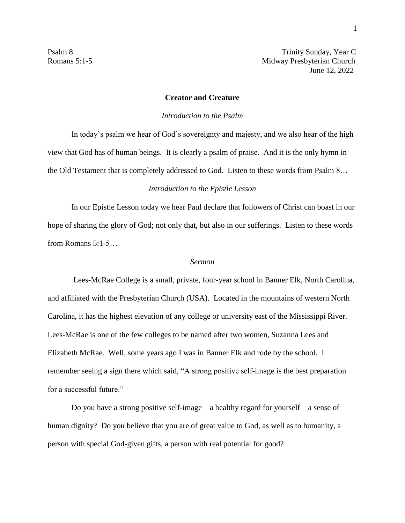Psalm 8 Trinity Sunday, Year C Romans 5:1-5 Midway Presbyterian Church June 12, 2022

## **Creator and Creature**

## *Introduction to the Psalm*

In today's psalm we hear of God's sovereignty and majesty, and we also hear of the high view that God has of human beings. It is clearly a psalm of praise. And it is the only hymn in the Old Testament that is completely addressed to God. Listen to these words from Psalm 8…

## *Introduction to the Epistle Lesson*

In our Epistle Lesson today we hear Paul declare that followers of Christ can boast in our hope of sharing the glory of God; not only that, but also in our sufferings. Listen to these words from Romans 5:1-5…

## *Sermon*

Lees-McRae College is a small, private, four-year school in Banner Elk, North Carolina, and affiliated with the Presbyterian Church (USA). Located in the mountains of western North Carolina, it has the highest elevation of any college or university east of the Mississippi River. Lees-McRae is one of the few colleges to be named after two women, Suzanna Lees and Elizabeth McRae. Well, some years ago I was in Banner Elk and rode by the school. I remember seeing a sign there which said, "A strong positive self-image is the best preparation for a successful future."

Do you have a strong positive self-image—a healthy regard for yourself—a sense of human dignity? Do you believe that you are of great value to God, as well as to humanity, a person with special God-given gifts, a person with real potential for good?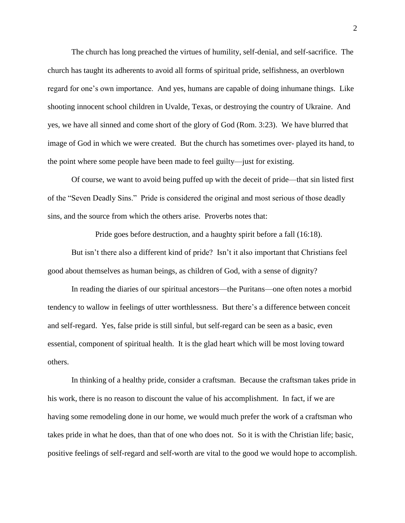The church has long preached the virtues of humility, self-denial, and self-sacrifice. The church has taught its adherents to avoid all forms of spiritual pride, selfishness, an overblown regard for one's own importance. And yes, humans are capable of doing inhumane things. Like shooting innocent school children in Uvalde, Texas, or destroying the country of Ukraine. And yes, we have all sinned and come short of the glory of God (Rom. 3:23). We have blurred that image of God in which we were created. But the church has sometimes over- played its hand, to the point where some people have been made to feel guilty—just for existing.

Of course, we want to avoid being puffed up with the deceit of pride—that sin listed first of the "Seven Deadly Sins." Pride is considered the original and most serious of those deadly sins, and the source from which the others arise. Proverbs notes that:

Pride goes before destruction, and a haughty spirit before a fall (16:18).

But isn't there also a different kind of pride? Isn't it also important that Christians feel good about themselves as human beings, as children of God, with a sense of dignity?

In reading the diaries of our spiritual ancestors—the Puritans—one often notes a morbid tendency to wallow in feelings of utter worthlessness. But there's a difference between conceit and self-regard. Yes, false pride is still sinful, but self-regard can be seen as a basic, even essential, component of spiritual health. It is the glad heart which will be most loving toward others.

In thinking of a healthy pride, consider a craftsman. Because the craftsman takes pride in his work, there is no reason to discount the value of his accomplishment. In fact, if we are having some remodeling done in our home, we would much prefer the work of a craftsman who takes pride in what he does, than that of one who does not. So it is with the Christian life; basic, positive feelings of self-regard and self-worth are vital to the good we would hope to accomplish.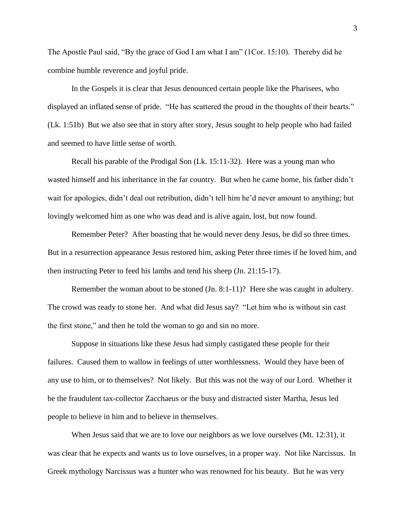The Apostle Paul said, "By the grace of God I am what I am" (1Cor. 15:10). Thereby did he combine humble reverence and joyful pride.

In the Gospels it is clear that Jesus denounced certain people like the Pharisees, who displayed an inflated sense of pride. "He has scattered the proud in the thoughts of their hearts." (Lk. 1:51b) But we also see that in story after story, Jesus sought to help people who had failed and seemed to have little sense of worth.

Recall his parable of the Prodigal Son (Lk. 15:11-32). Here was a young man who wasted himself and his inheritance in the far country. But when he came home, his father didn't wait for apologies, didn't deal out retribution, didn't tell him he'd never amount to anything; but lovingly welcomed him as one who was dead and is alive again, lost, but now found.

Remember Peter? After boasting that he would never deny Jesus, he did so three times. But in a resurrection appearance Jesus restored him, asking Peter three times if he loved him, and then instructing Peter to feed his lambs and tend his sheep (Jn. 21:15-17).

Remember the woman about to be stoned (Jn. 8:1-11)? Here she was caught in adultery. The crowd was ready to stone her. And what did Jesus say? "Let him who is without sin cast the first stone," and then he told the woman to go and sin no more.

Suppose in situations like these Jesus had simply castigated these people for their failures. Caused them to wallow in feelings of utter worthlessness. Would they have been of any use to him, or to themselves? Not likely. But this was not the way of our Lord. Whether it be the fraudulent tax-collector Zacchaeus or the busy and distracted sister Martha, Jesus led people to believe in him and to believe in themselves.

When Jesus said that we are to love our neighbors as we love ourselves (Mt. 12:31), it was clear that he expects and wants us to love ourselves, in a proper way. Not like Narcissus. In Greek mythology Narcissus was a hunter who was renowned for his beauty. But he was very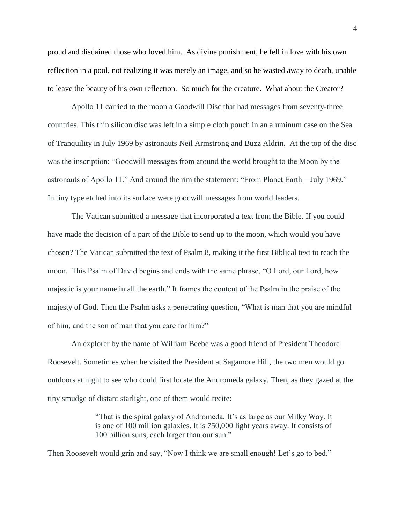proud and disdained those who loved him. As divine punishment, he fell in love with his own reflection in a pool, not realizing it was merely an image, and so he wasted away to death, unable to leave the beauty of his own reflection. So much for the creature. What about the Creator?

Apollo 11 carried to the moon a Goodwill Disc that had messages from seventy-three countries. This thin silicon disc was left in a simple cloth pouch in an aluminum case on the Sea of Tranquility in July 1969 by astronauts Neil Armstrong and Buzz Aldrin. At the top of the disc was the inscription: "Goodwill messages from around the world brought to the Moon by the astronauts of Apollo 11." And around the rim the statement: "From Planet Earth—July 1969." In tiny type etched into its surface were goodwill messages from world leaders.

The Vatican submitted a message that incorporated a text from the Bible. If you could have made the decision of a part of the Bible to send up to the moon, which would you have chosen? The Vatican submitted the text of Psalm 8, making it the first Biblical text to reach the moon. This Psalm of David begins and ends with the same phrase, "O Lord, our Lord, how majestic is your name in all the earth." It frames the content of the Psalm in the praise of the majesty of God. Then the Psalm asks a penetrating question, "What is man that you are mindful of him, and the son of man that you care for him?"

An explorer by the name of William Beebe was a good friend of President Theodore Roosevelt. Sometimes when he visited the President at Sagamore Hill, the two men would go outdoors at night to see who could first locate the Andromeda galaxy. Then, as they gazed at the tiny smudge of distant starlight, one of them would recite:

> "That is the spiral galaxy of Andromeda. It's as large as our Milky Way. It is one of 100 million galaxies. It is 750,000 light years away. It consists of 100 billion suns, each larger than our sun."

Then Roosevelt would grin and say, "Now I think we are small enough! Let's go to bed."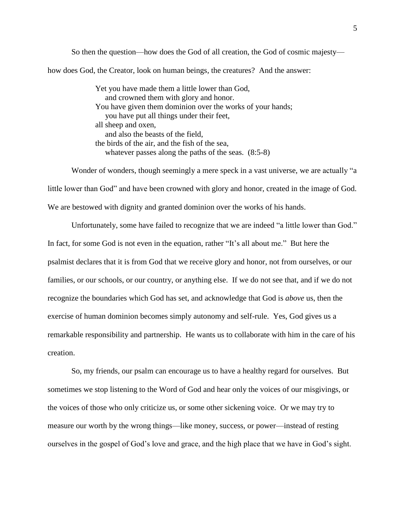So then the question—how does the God of all creation, the God of cosmic majesty how does God, the Creator, look on human beings, the creatures? And the answer:

> Yet you have made them a little lower than God, and crowned them with glory and honor. You have given them dominion over the works of your hands; you have put all things under their feet, all sheep and oxen, and also the beasts of the field, the birds of the air, and the fish of the sea, whatever passes along the paths of the seas. (8:5-8)

Wonder of wonders, though seemingly a mere speck in a vast universe, we are actually "a little lower than God" and have been crowned with glory and honor, created in the image of God. We are bestowed with dignity and granted dominion over the works of his hands.

Unfortunately, some have failed to recognize that we are indeed "a little lower than God." In fact, for some God is not even in the equation, rather "It's all about me." But here the psalmist declares that it is from God that we receive glory and honor, not from ourselves, or our families, or our schools, or our country, or anything else. If we do not see that, and if we do not recognize the boundaries which God has set, and acknowledge that God is *above* us, then the exercise of human dominion becomes simply autonomy and self-rule. Yes, God gives us a remarkable responsibility and partnership. He wants us to collaborate with him in the care of his creation.

So, my friends, our psalm can encourage us to have a healthy regard for ourselves. But sometimes we stop listening to the Word of God and hear only the voices of our misgivings, or the voices of those who only criticize us, or some other sickening voice. Or we may try to measure our worth by the wrong things—like money, success, or power—instead of resting ourselves in the gospel of God's love and grace, and the high place that we have in God's sight.